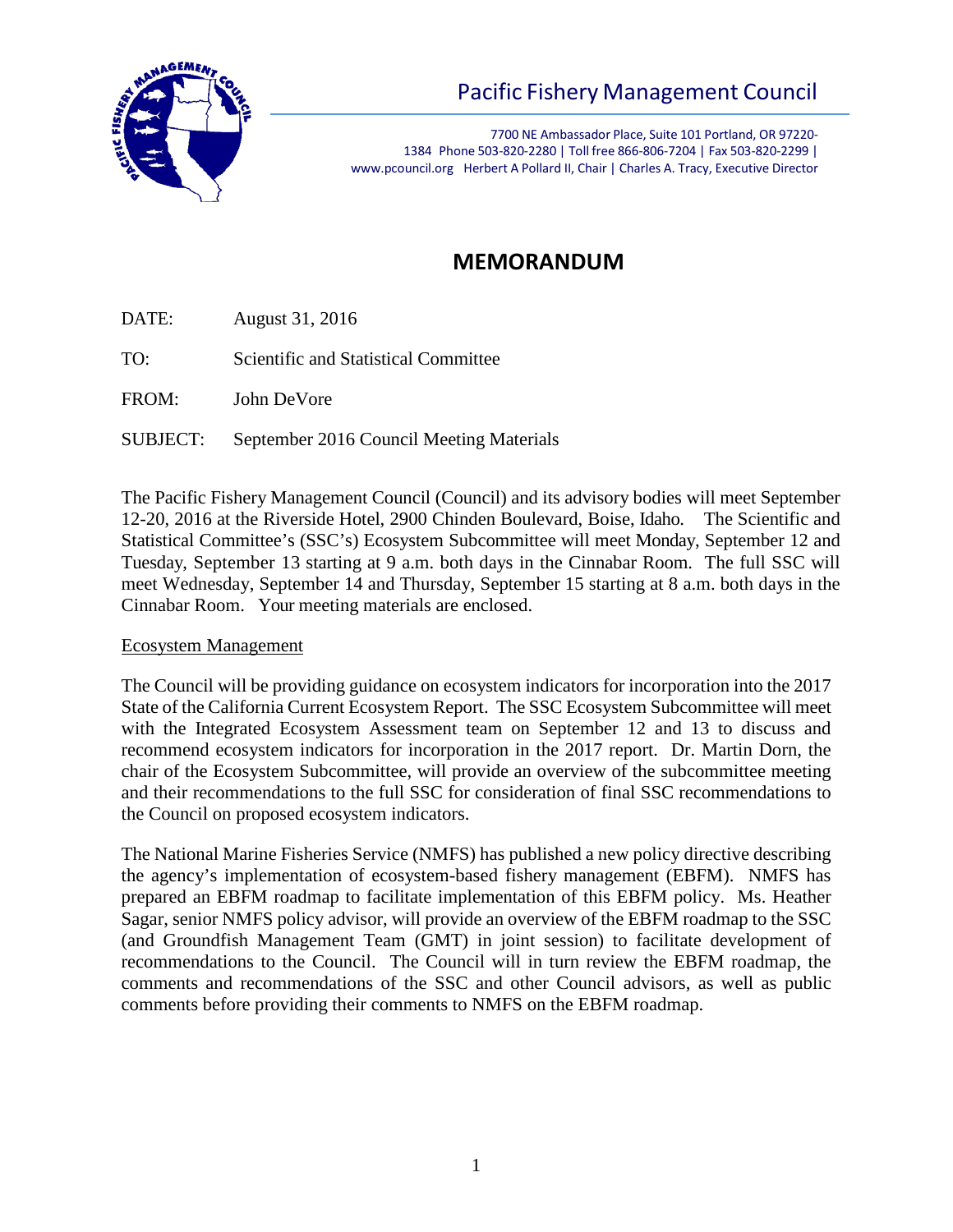

# Pacific Fishery Management Council

7700 NE Ambassador Place, Suite 101 Portland, OR 97220- 1384 Phone 503-820-2280 | Toll free 866-806-7204 | Fax 503-820-2299 | [www.pcouncil.org](http://www.pcouncil.org/) Herbert A Pollard II, Chair | Charles A. Tracy, Executive Director

# **MEMORANDUM**

DATE: August 31, 2016

TO: Scientific and Statistical Committee

FROM: John DeVore

SUBJECT: September 2016 Council Meeting Materials

The Pacific Fishery Management Council (Council) and its advisory bodies will meet September 12-20, 2016 at the Riverside Hotel, 2900 Chinden Boulevard, Boise, Idaho. The Scientific and Statistical Committee's (SSC's) Ecosystem Subcommittee will meet Monday, September 12 and Tuesday, September 13 starting at 9 a.m. both days in the Cinnabar Room. The full SSC will meet Wednesday, September 14 and Thursday, September 15 starting at 8 a.m. both days in the Cinnabar Room. Your meeting materials are enclosed.

### Ecosystem Management

The Council will be providing guidance on ecosystem indicators for incorporation into the 2017 State of the California Current Ecosystem Report. The SSC Ecosystem Subcommittee will meet with the Integrated Ecosystem Assessment team on September 12 and 13 to discuss and recommend ecosystem indicators for incorporation in the 2017 report. Dr. Martin Dorn, the chair of the Ecosystem Subcommittee, will provide an overview of the subcommittee meeting and their recommendations to the full SSC for consideration of final SSC recommendations to the Council on proposed ecosystem indicators.

The National Marine Fisheries Service (NMFS) has published a new policy directive describing the agency's implementation of ecosystem-based fishery management (EBFM). NMFS has prepared an EBFM roadmap to facilitate implementation of this EBFM policy. Ms. Heather Sagar, senior NMFS policy advisor, will provide an overview of the EBFM roadmap to the SSC (and Groundfish Management Team (GMT) in joint session) to facilitate development of recommendations to the Council. The Council will in turn review the EBFM roadmap, the comments and recommendations of the SSC and other Council advisors, as well as public comments before providing their comments to NMFS on the EBFM roadmap.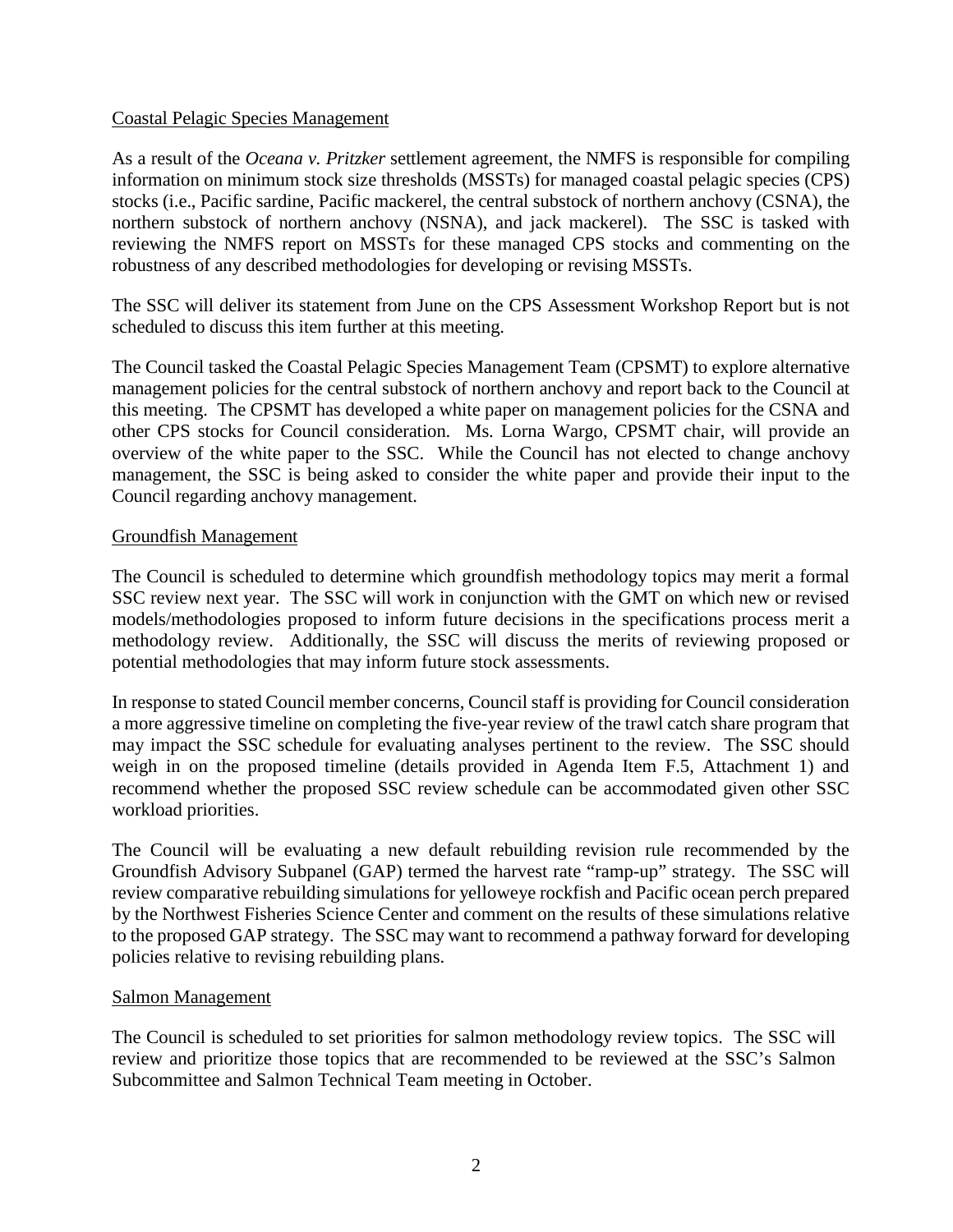#### Coastal Pelagic Species Management

As a result of the *Oceana v. Pritzker* settlement agreement, the NMFS is responsible for compiling information on minimum stock size thresholds (MSSTs) for managed coastal pelagic species (CPS) stocks (i.e., Pacific sardine, Pacific mackerel, the central substock of northern anchovy (CSNA), the northern substock of northern anchovy (NSNA), and jack mackerel). The SSC is tasked with reviewing the NMFS report on MSSTs for these managed CPS stocks and commenting on the robustness of any described methodologies for developing or revising MSSTs.

The SSC will deliver its statement from June on the CPS Assessment Workshop Report but is not scheduled to discuss this item further at this meeting.

The Council tasked the Coastal Pelagic Species Management Team (CPSMT) to explore alternative management policies for the central substock of northern anchovy and report back to the Council at this meeting. The CPSMT has developed a white paper on management policies for the CSNA and other CPS stocks for Council consideration. Ms. Lorna Wargo, CPSMT chair, will provide an overview of the white paper to the SSC. While the Council has not elected to change anchovy management, the SSC is being asked to consider the white paper and provide their input to the Council regarding anchovy management.

#### Groundfish Management

The Council is scheduled to determine which groundfish methodology topics may merit a formal SSC review next year. The SSC will work in conjunction with the GMT on which new or revised models/methodologies proposed to inform future decisions in the specifications process merit a methodology review. Additionally, the SSC will discuss the merits of reviewing proposed or potential methodologies that may inform future stock assessments.

In response to stated Council member concerns, Council staff is providing for Council consideration a more aggressive timeline on completing the five-year review of the trawl catch share program that may impact the SSC schedule for evaluating analyses pertinent to the review. The SSC should weigh in on the proposed timeline (details provided in Agenda Item F.5, Attachment 1) and recommend whether the proposed SSC review schedule can be accommodated given other SSC workload priorities.

The Council will be evaluating a new default rebuilding revision rule recommended by the Groundfish Advisory Subpanel (GAP) termed the harvest rate "ramp-up" strategy. The SSC will review comparative rebuilding simulations for yelloweye rockfish and Pacific ocean perch prepared by the Northwest Fisheries Science Center and comment on the results of these simulations relative to the proposed GAP strategy. The SSC may want to recommend a pathway forward for developing policies relative to revising rebuilding plans.

#### Salmon Management

The Council is scheduled to set priorities for salmon methodology review topics. The SSC will review and prioritize those topics that are recommended to be reviewed at the SSC's Salmon Subcommittee and Salmon Technical Team meeting in October.